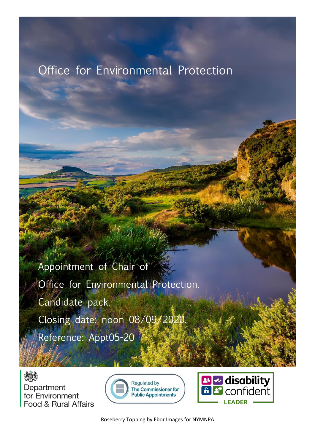# Office for Environmental Protection

Appointment of Chair of Office for Environmental Protection. Candidate pack. Closing date: noon 08/09/2020. Reference: Appt05-20

炒 Department for Environment Food & Rural Affairs





Roseberry Topping by Ebor Images for NYMNPA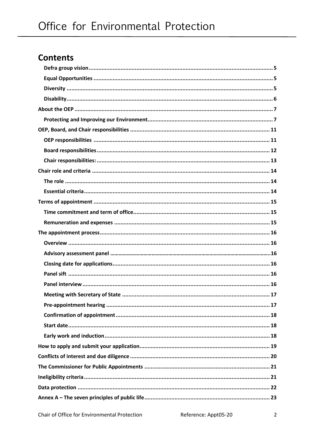# **Contents**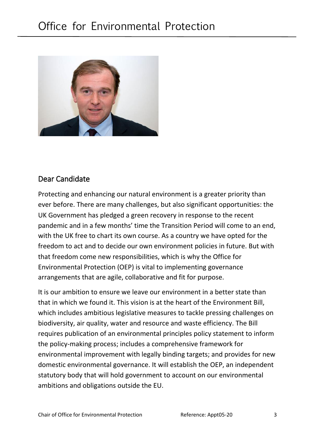

### Dear Candidate

Protecting and enhancing our natural environment is a greater priority than ever before. There are many challenges, but also significant opportunities: the UK Government has pledged a green recovery in response to the recent pandemic and in a few months' time the Transition Period will come to an end, with the UK free to chart its own course. As a country we have opted for the freedom to act and to decide our own environment policies in future. But with that freedom come new responsibilities, which is why the Office for Environmental Protection (OEP) is vital to implementing governance arrangements that are agile, collaborative and fit for purpose.

It is our ambition to ensure we leave our environment in a better state than that in which we found it. This vision is at the heart of the Environment Bill, which includes ambitious legislative measures to tackle pressing challenges on biodiversity, air quality, water and resource and waste efficiency. The Bill requires publication of an environmental principles policy statement to inform the policy-making process; includes a comprehensive framework for environmental improvement with legally binding targets; and provides for new domestic environmental governance. It will establish the OEP, an independent statutory body that will hold government to account on our environmental ambitions and obligations outside the EU.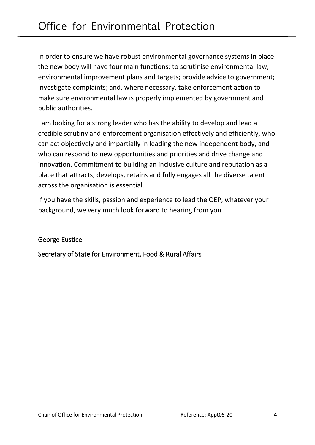In order to ensure we have robust environmental governance systems in place the new body will have four main functions: to scrutinise environmental law, environmental improvement plans and targets; provide advice to government; investigate complaints; and, where necessary, take enforcement action to make sure environmental law is properly implemented by government and public authorities.

I am looking for a strong leader who has the ability to develop and lead a credible scrutiny and enforcement organisation effectively and efficiently, who can act objectively and impartially in leading the new independent body, and who can respond to new opportunities and priorities and drive change and innovation. Commitment to building an inclusive culture and reputation as a place that attracts, develops, retains and fully engages all the diverse talent across the organisation is essential.

If you have the skills, passion and experience to lead the OEP, whatever your background, we very much look forward to hearing from you.

#### George Eustice

Secretary of State for Environment, Food & Rural Affairs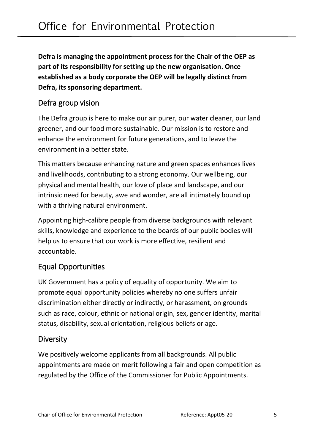**Defra is managing the appointment process for the Chair of the OEP as part of its responsibility for setting up the new organisation. Once established as a body corporate the OEP will be legally distinct from Defra, its sponsoring department.** 

#### <span id="page-4-0"></span>Defra group vision

The Defra group is here to make our air purer, our water cleaner, our land greener, and our food more sustainable. Our mission is to restore and enhance the environment for future generations, and to leave the environment in a better state.

This matters because enhancing nature and green spaces enhances lives and livelihoods, contributing to a strong economy. Our wellbeing, our physical and mental health, our love of place and landscape, and our intrinsic need for beauty, awe and wonder, are all intimately bound up with a thriving natural environment.

Appointing high-calibre people from diverse backgrounds with relevant skills, knowledge and experience to the boards of our public bodies will help us to ensure that our work is more effective, resilient and accountable.

#### <span id="page-4-1"></span>Equal Opportunities

UK Government has a policy of equality of opportunity. We aim to promote equal opportunity policies whereby no one suffers unfair discrimination either directly or indirectly, or harassment, on grounds such as race, colour, ethnic or national origin, sex, gender identity, marital status, disability, sexual orientation, religious beliefs or age.

#### <span id="page-4-2"></span>**Diversity**

We positively welcome applicants from all backgrounds. All public appointments are made on merit following a fair and open competition as regulated by the Office of the Commissioner for Public Appointments.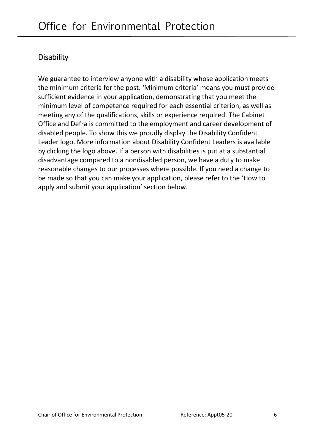### <span id="page-5-0"></span>**Disability**

We guarantee to interview anyone with a disability whose application meets the minimum criteria for the post. 'Minimum criteria' means you must provide sufficient evidence in your application, demonstrating that you meet the minimum level of competence required for each essential criterion, as well as meeting any of the qualifications, skills or experience required. The Cabinet Office and Defra is committed to the employment and career development of disabled people. To show this we proudly display the Disability Confident Leader logo. More information about Disability Confident Leaders is available by clicking the logo above. If a person with disabilities is put at a substantial disadvantage compared to a nondisabled person, we have a duty to make reasonable changes to our processes where possible. If you need a change to be made so that you can make your application, please refer to the 'How to apply and submit your application' section below.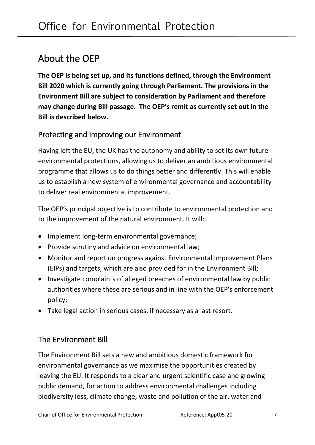# <span id="page-6-0"></span>About the OEP

**The OEP is being set up, and its functions defined, through the Environment Bill 2020 which is currently going through Parliament. The provisions in the Environment Bill are subject to consideration by Parliament and therefore may change during Bill passage. The OEP's remit as currently set out in the Bill is described below.**

#### <span id="page-6-1"></span>Protecting and Improving our Environment

Having left the EU, the UK has the autonomy and ability to set its own future environmental protections, allowing us to deliver an ambitious environmental programme that allows us to do things better and differently. This will enable us to establish a new system of environmental governance and accountability to deliver real environmental improvement.

The OEP's principal objective is to contribute to environmental protection and to the improvement of the natural environment. It will:

- Implement long-term environmental governance;
- Provide scrutiny and advice on environmental law;
- Monitor and report on progress against Environmental Improvement Plans (EIPs) and targets, which are also provided for in the Environment Bill;
- Investigate complaints of alleged breaches of environmental law by public authorities where these are serious and in line with the OEP's enforcement policy;
- Take legal action in serious cases, if necessary as a last resort.

#### The Environment Bill

The Environment Bill sets a new and ambitious domestic framework for environmental governance as we maximise the opportunities created by leaving the EU. It responds to a clear and urgent scientific case and growing public demand, for action to address environmental challenges including biodiversity loss, climate change, waste and pollution of the air, water and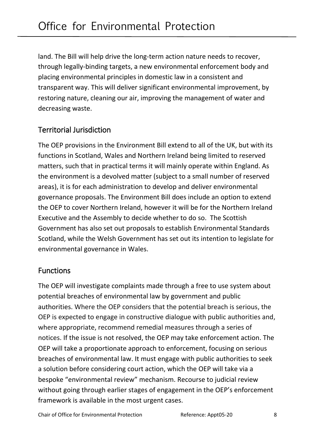land. The Bill will help drive the long-term action nature needs to recover, through legally-binding targets, a new environmental enforcement body and placing environmental principles in domestic law in a consistent and transparent way. This will deliver significant environmental improvement, by restoring nature, cleaning our air, improving the management of water and decreasing waste.

### Territorial Jurisdiction

The OEP provisions in the Environment Bill extend to all of the UK, but with its functions in Scotland, Wales and Northern Ireland being limited to reserved matters, such that in practical terms it will mainly operate within England. As the environment is a devolved matter (subject to a small number of reserved areas), it is for each administration to develop and deliver environmental governance proposals. The Environment Bill does include an option to extend the OEP to cover Northern Ireland, however it will be for the Northern Ireland Executive and the Assembly to decide whether to do so. The Scottish Government has also set out proposals to establish Environmental Standards Scotland, while the Welsh Government has set out its intention to legislate for environmental governance in Wales.

#### Functions

The OEP will investigate complaints made through a free to use system about potential breaches of environmental law by government and public authorities. Where the OEP considers that the potential breach is serious, the OEP is expected to engage in constructive dialogue with public authorities and, where appropriate, recommend remedial measures through a series of notices. If the issue is not resolved, the OEP may take enforcement action. The OEP will take a proportionate approach to enforcement, focusing on serious breaches of environmental law. It must engage with public authorities to seek a solution before considering court action, which the OEP will take via a bespoke "environmental review" mechanism. Recourse to judicial review without going through earlier stages of engagement in the OEP's enforcement framework is available in the most urgent cases.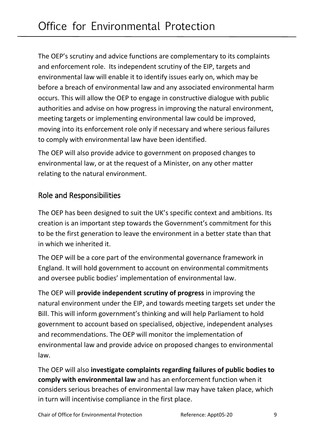The OEP's scrutiny and advice functions are complementary to its complaints and enforcement role. Its independent scrutiny of the EIP, targets and environmental law will enable it to identify issues early on, which may be before a breach of environmental law and any associated environmental harm occurs. This will allow the OEP to engage in constructive dialogue with public authorities and advise on how progress in improving the natural environment, meeting targets or implementing environmental law could be improved, moving into its enforcement role only if necessary and where serious failures to comply with environmental law have been identified.

The OEP will also provide advice to government on proposed changes to environmental law, or at the request of a Minister, on any other matter relating to the natural environment.

#### Role and Responsibilities

The OEP has been designed to suit the UK's specific context and ambitions. Its creation is an important step towards the Government's commitment for this to be the first generation to leave the environment in a better state than that in which we inherited it.

The OEP will be a core part of the environmental governance framework in England. It will hold government to account on environmental commitments and oversee public bodies' implementation of environmental law.

The OEP will **provide independent scrutiny of progress** in improving the natural environment under the EIP, and towards meeting targets set under the Bill. This will inform government's thinking and will help Parliament to hold government to account based on specialised, objective, independent analyses and recommendations. The OEP will monitor the implementation of environmental law and provide advice on proposed changes to environmental law.

The OEP will also **investigate complaints regarding failures of public bodies to comply with environmental law** and has an enforcement function when it considers serious breaches of environmental law may have taken place, which in turn will incentivise compliance in the first place.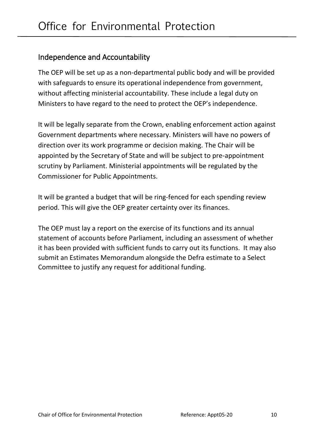### Independence and Accountability

The OEP will be set up as a non-departmental public body and will be provided with safeguards to ensure its operational independence from government, without affecting ministerial accountability. These include a legal duty on Ministers to have regard to the need to protect the OEP's independence.

It will be legally separate from the Crown, enabling enforcement action against Government departments where necessary. Ministers will have no powers of direction over its work programme or decision making. The Chair will be appointed by the Secretary of State and will be subject to pre-appointment scrutiny by Parliament. Ministerial appointments will be regulated by the Commissioner for Public Appointments.

It will be granted a budget that will be ring-fenced for each spending review period. This will give the OEP greater certainty over its finances.

The OEP must lay a report on the exercise of its functions and its annual statement of accounts before Parliament, including an assessment of whether it has been provided with sufficient funds to carry out its functions. It may also submit an Estimates Memorandum alongside the Defra estimate to a Select Committee to justify any request for additional funding.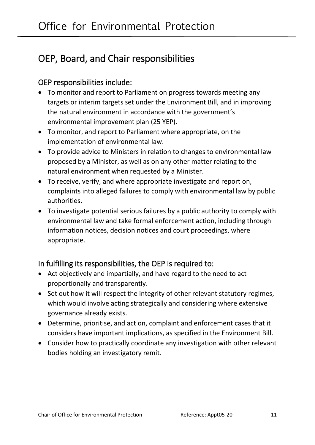# <span id="page-10-0"></span>OEP, Board, and Chair responsibilities

#### <span id="page-10-1"></span>OEP responsibilities include:

- To monitor and report to Parliament on progress towards meeting any targets or interim targets set under the Environment Bill, and in improving the natural environment in accordance with the government's environmental improvement plan (25 YEP).
- To monitor, and report to Parliament where appropriate, on the implementation of environmental law.
- To provide advice to Ministers in relation to changes to environmental law proposed by a Minister, as well as on any other matter relating to the natural environment when requested by a Minister.
- To receive, verify, and where appropriate investigate and report on, complaints into alleged failures to comply with environmental law by public authorities.
- To investigate potential serious failures by a public authority to comply with environmental law and take formal enforcement action, including through information notices, decision notices and court proceedings, where appropriate.

#### In fulfilling its responsibilities, the OEP is required to:

- Act objectively and impartially, and have regard to the need to act proportionally and transparently.
- Set out how it will respect the integrity of other relevant statutory regimes, which would involve acting strategically and considering where extensive governance already exists.
- Determine, prioritise, and act on, complaint and enforcement cases that it considers have important implications, as specified in the Environment Bill.
- Consider how to practically coordinate any investigation with other relevant bodies holding an investigatory remit.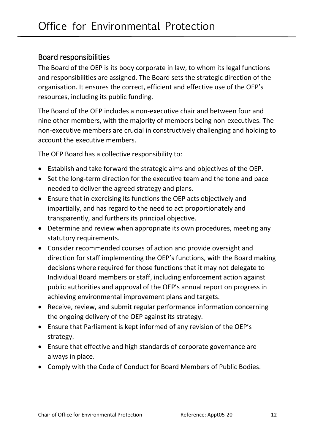#### <span id="page-11-0"></span>Board responsibilities

The Board of the OEP is its body corporate in law, to whom its legal functions and responsibilities are assigned. The Board sets the strategic direction of the organisation. It ensures the correct, efficient and effective use of the OEP's resources, including its public funding.

The Board of the OEP includes a non-executive chair and between four and nine other members, with the majority of members being non-executives. The non-executive members are crucial in constructively challenging and holding to account the executive members.

The OEP Board has a collective responsibility to:

- Establish and take forward the strategic aims and objectives of the OEP.
- Set the long-term direction for the executive team and the tone and pace needed to deliver the agreed strategy and plans.
- Ensure that in exercising its functions the OEP acts objectively and impartially, and has regard to the need to act proportionately and transparently, and furthers its principal objective.
- Determine and review when appropriate its own procedures, meeting any statutory requirements.
- Consider recommended courses of action and provide oversight and direction for staff implementing the OEP's functions, with the Board making decisions where required for those functions that it may not delegate to Individual Board members or staff, including enforcement action against public authorities and approval of the OEP's annual report on progress in achieving environmental improvement plans and targets.
- Receive, review, and submit regular performance information concerning the ongoing delivery of the OEP against its strategy.
- Ensure that Parliament is kept informed of any revision of the OEP's strategy.
- Ensure that effective and high standards of corporate governance are always in place.
- Comply with the Code of Conduct for Board Members of Public Bodies.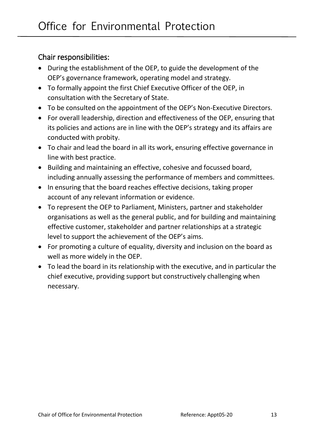### <span id="page-12-0"></span>Chair responsibilities:

- During the establishment of the OEP, to guide the development of the OEP's governance framework, operating model and strategy.
- To formally appoint the first Chief Executive Officer of the OEP, in consultation with the Secretary of State.
- To be consulted on the appointment of the OEP's Non-Executive Directors.
- For overall leadership, direction and effectiveness of the OEP, ensuring that its policies and actions are in line with the OEP's strategy and its affairs are conducted with probity.
- To chair and lead the board in all its work, ensuring effective governance in line with best practice.
- Building and maintaining an effective, cohesive and focussed board, including annually assessing the performance of members and committees.
- In ensuring that the board reaches effective decisions, taking proper account of any relevant information or evidence.
- To represent the OEP to Parliament, Ministers, partner and stakeholder organisations as well as the general public, and for building and maintaining effective customer, stakeholder and partner relationships at a strategic level to support the achievement of the OEP's aims.
- For promoting a culture of equality, diversity and inclusion on the board as well as more widely in the OEP.
- To lead the board in its relationship with the executive, and in particular the chief executive, providing support but constructively challenging when necessary.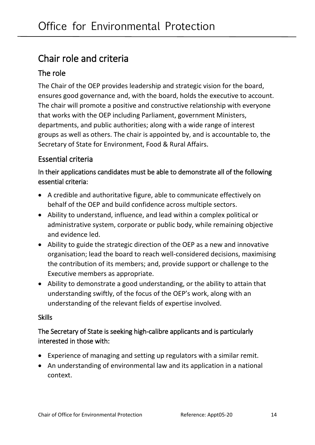# <span id="page-13-0"></span>Chair role and criteria

### <span id="page-13-1"></span>The role

The Chair of the OEP provides leadership and strategic vision for the board, ensures good governance and, with the board, holds the executive to account. The chair will promote a positive and constructive relationship with everyone that works with the OEP including Parliament, government Ministers, departments, and public authorities; along with a wide range of interest groups as well as others. The chair is appointed by, and is accountable to, the Secretary of State for Environment, Food & Rural Affairs**.**

### <span id="page-13-2"></span>Essential criteria

In their applications candidates must be able to demonstrate all of the following essential criteria:

- A credible and authoritative figure, able to communicate effectively on behalf of the OEP and build confidence across multiple sectors.
- Ability to understand, influence, and lead within a complex political or administrative system, corporate or public body, while remaining objective and evidence led.
- Ability to guide the strategic direction of the OEP as a new and innovative organisation; lead the board to reach well-considered decisions, maximising the contribution of its members; and, provide support or challenge to the Executive members as appropriate.
- Ability to demonstrate a good understanding, or the ability to attain that understanding swiftly, of the focus of the OEP's work, along with an understanding of the relevant fields of expertise involved.

#### Skills

#### The Secretary of State is seeking high-calibre applicants and is particularly interested in those with:

- Experience of managing and setting up regulators with a similar remit.
- An understanding of environmental law and its application in a national context.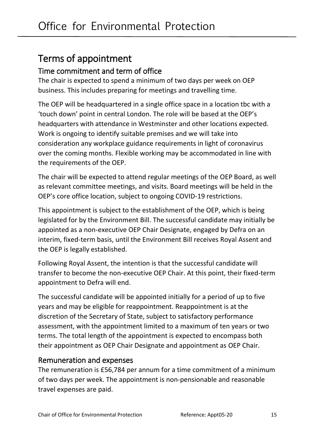# <span id="page-14-0"></span>Terms of appointment

### <span id="page-14-1"></span>Time commitment and term of office

The chair is expected to spend a minimum of two days per week on OEP business. This includes preparing for meetings and travelling time.

The OEP will be headquartered in a single office space in a location tbc with a 'touch down' point in central London. The role will be based at the OEP's headquarters with attendance in Westminster and other locations expected. Work is ongoing to identify suitable premises and we will take into consideration any workplace guidance requirements in light of coronavirus over the coming months. Flexible working may be accommodated in line with the requirements of the OEP.

The chair will be expected to attend regular meetings of the OEP Board, as well as relevant committee meetings, and visits. Board meetings will be held in the OEP's core office location, subject to ongoing COVID-19 restrictions.

This appointment is subject to the establishment of the OEP, which is being legislated for by the Environment Bill. The successful candidate may initially be appointed as a non-executive OEP Chair Designate, engaged by Defra on an interim, fixed-term basis, until the Environment Bill receives Royal Assent and the OEP is legally established.

Following Royal Assent, the intention is that the successful candidate will transfer to become the non-executive OEP Chair. At this point, their fixed-term appointment to Defra will end.

The successful candidate will be appointed initially for a period of up to five years and may be eligible for reappointment. Reappointment is at the discretion of the Secretary of State, subject to satisfactory performance assessment, with the appointment limited to a maximum of ten years or two terms. The total length of the appointment is expected to encompass both their appointment as OEP Chair Designate and appointment as OEP Chair.

#### <span id="page-14-2"></span>Remuneration and expenses

The remuneration is £56,784 per annum for a time commitment of a minimum of two days per week. The appointment is non-pensionable and reasonable travel expenses are paid.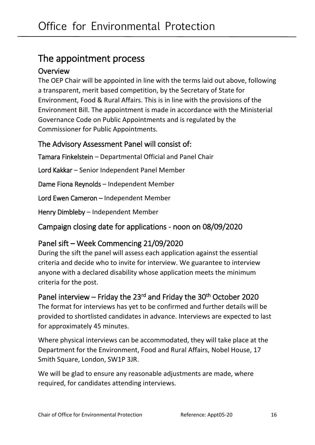# <span id="page-15-0"></span>The appointment process

### <span id="page-15-1"></span>**Overview**

The OEP Chair will be appointed in line with the terms laid out above, following a transparent, merit based competition, by the Secretary of State for Environment, Food & Rural Affairs. This is in line with the provisions of the Environment Bill. The appointment is made in accordance with the Ministerial Governance Code on Public Appointments and is regulated by the Commissioner for Public Appointments.

### <span id="page-15-2"></span>The Advisory Assessment Panel will consist of:

Tamara Finkelstein – Departmental Official and Panel Chair

Lord Kakkar – Senior Independent Panel Member

Dame Fiona Reynolds – Independent Member

Lord Ewen Cameron – Independent Member

Henry Dimbleby – Independent Member

<span id="page-15-3"></span>Campaign closing date for applications - noon on 08/09/2020

### <span id="page-15-4"></span>Panel sift – Week Commencing 21/09/2020

During the sift the panel will assess each application against the essential criteria and decide who to invite for interview. We guarantee to interview anyone with a declared disability whose application meets the minimum criteria for the post.

<span id="page-15-5"></span>Panel interview – Friday the 23<sup>rd</sup> and Friday the 30<sup>th</sup> October 2020 The format for interviews has yet to be confirmed and further details will be provided to shortlisted candidates in advance. Interviews are expected to last for approximately 45 minutes.

Where physical interviews can be accommodated, they will take place at the Department for the Environment, Food and Rural Affairs, Nobel House, 17 Smith Square, London, SW1P 3JR.

We will be glad to ensure any reasonable adjustments are made, where required, for candidates attending interviews.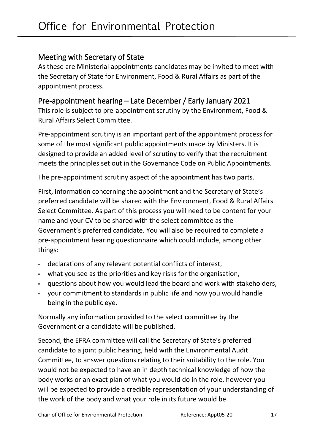#### <span id="page-16-0"></span>Meeting with Secretary of State

As these are Ministerial appointments candidates may be invited to meet with the Secretary of State for Environment, Food & Rural Affairs as part of the appointment process.

#### <span id="page-16-1"></span>Pre-appointment hearing – Late December / Early January 2021

This role is subject to pre-appointment scrutiny by the Environment, Food & Rural Affairs Select Committee.

Pre-appointment scrutiny is an important part of the appointment process for some of the most significant public appointments made by Ministers. It is designed to provide an added level of scrutiny to verify that the recruitment meets the principles set out in the Governance Code on Public Appointments.

The pre-appointment scrutiny aspect of the appointment has two parts.

First, information concerning the appointment and the Secretary of State's preferred candidate will be shared with the Environment, Food & Rural Affairs Select Committee. As part of this process you will need to be content for your name and your CV to be shared with the select committee as the Government's preferred candidate. You will also be required to complete a pre-appointment hearing questionnaire which could include, among other things:

- declarations of any relevant potential conflicts of interest,
- what you see as the priorities and key risks for the organisation,
- questions about how you would lead the board and work with stakeholders,
- your commitment to standards in public life and how you would handle being in the public eye.

Normally any information provided to the select committee by the Government or a candidate will be published.

Second, the EFRA committee will call the Secretary of State's preferred candidate to a joint public hearing, held with the Environmental Audit Committee, to answer questions relating to their suitability to the role. You would not be expected to have an in depth technical knowledge of how the body works or an exact plan of what you would do in the role, however you will be expected to provide a credible representation of your understanding of the work of the body and what your role in its future would be.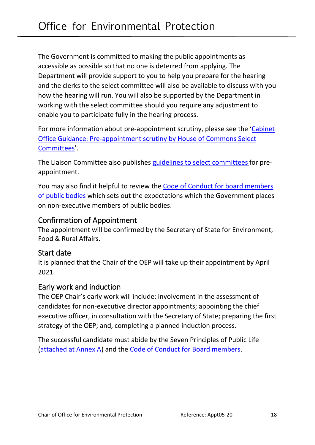The Government is committed to making the public appointments as accessible as possible so that no one is deterred from applying. The Department will provide support to you to help you prepare for the hearing and the clerks to the select committee will also be available to discuss with you how the hearing will run. You will also be supported by the Department in working with the select committee should you require any adjustment to enable you to participate fully in the hearing process.

For more information about pre-appointment scrutiny, please see the '[Cabinet](https://assets.publishing.service.gov.uk/government/uploads/system/uploads/attachment_data/file/771845/Cabinet-Office-Guidance-pre-appointment-scrutiny-of-public-appointments.pdf)  [Office Guidance: Pre-appointment scrutiny by House of Commons Select](https://assets.publishing.service.gov.uk/government/uploads/system/uploads/attachment_data/file/771845/Cabinet-Office-Guidance-pre-appointment-scrutiny-of-public-appointments.pdf)  [Committees](https://assets.publishing.service.gov.uk/government/uploads/system/uploads/attachment_data/file/771845/Cabinet-Office-Guidance-pre-appointment-scrutiny-of-public-appointments.pdf)'.

The Liaison Committee also publishes [guidelines to select committees](https://www.parliament.uk/business/committees/committees-a-z/commons-select/liaison-committee/role/pre-appointment-guidelines/)for preappointment.

You may also find it helpful to review the [Code of Conduct for board members](https://assets.publishing.service.gov.uk/government/uploads/system/uploads/attachment_data/file/809093/Code-of-Conduct-for-Board-Members-of-Public-Bodies-2019-WEB.PDF)  [of public bodies](https://assets.publishing.service.gov.uk/government/uploads/system/uploads/attachment_data/file/809093/Code-of-Conduct-for-Board-Members-of-Public-Bodies-2019-WEB.PDF) which sets out the expectations which the Government places on non-executive members of public bodies.

#### <span id="page-17-0"></span>Confirmation of Appointment

The appointment will be confirmed by the Secretary of State for Environment, Food & Rural Affairs.

#### <span id="page-17-1"></span>Start date

It is planned that the Chair of the OEP will take up their appointment by April 2021.

#### <span id="page-17-2"></span>Early work and induction

The OEP Chair's early work will include: involvement in the assessment of candidates for non-executive director appointments; appointing the chief executive officer, in consultation with the Secretary of State; preparing the first strategy of the OEP; and, completing a planned induction process.

<span id="page-17-3"></span>The successful candidate must abide by the Seven Principles of Public Life [\(attached at Annex A\)](#page-22-0) and the [Code of Conduct for Board members.](https://assets.publishing.service.gov.uk/government/uploads/system/uploads/attachment_data/file/809093/Code-of-Conduct-for-Board-Members-of-Public-Bodies-2019-WEB.PDF)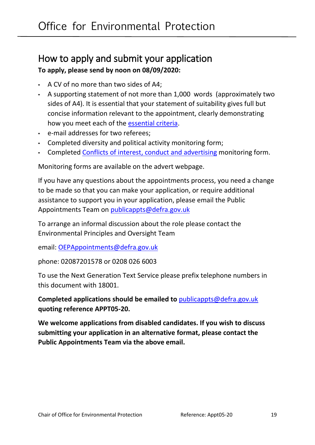### <span id="page-18-0"></span>How to apply and submit your application **To apply, please send by noon on 08/09/2020:**

- A CV of no more than two sides of A4;
- A supporting statement of not more than 1,000 words (approximately two sides of A4). It is essential that your statement of suitability gives full but concise information relevant to the appointment, clearly demonstrating how you meet each of the [essential criteria.](#page-17-3)
- e-mail addresses for two referees;
- Completed diversity and political activity monitoring form;
- Completed [Conflicts of interest,](#page-19-0) conduct and advertising monitoring form.

Monitoring forms are available on the advert webpage.

If you have any questions about the appointments process, you need a change to be made so that you can make your application, or require additional assistance to support you in your application, please email the Public Appointments Team on [publicappts@defra.gov.uk](mailto:publicappts@defra.gov.uk)

To arrange an informal discussion about the role please contact the Environmental Principles and Oversight Team

email: [OEPAppointments@defra.gov.uk](mailto:OEPAppointments@defra.gov.uk)

phone: 02087201578 or 0208 026 6003

To use the Next Generation Text Service please prefix telephone numbers in this document with 18001.

**Completed applications should be emailed to** [publicappts@defra.gov.uk](mailto:publicappts@defra.gov.uk) **quoting reference APPT05-20.**

**We welcome applications from disabled candidates. If you wish to discuss submitting your application in an alternative format, please contact the Public Appointments Team via the above email.**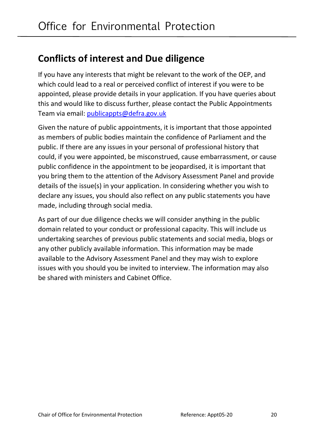# <span id="page-19-0"></span>**Conflicts of interest and Due diligence**

If you have any interests that might be relevant to the work of the OEP, and which could lead to a real or perceived conflict of interest if you were to be appointed, please provide details in your application. If you have queries about this and would like to discuss further, please contact the Public Appointments Team via email: [publicappts@defra.gov.uk](mailto:publicappts@defra.gov.uk)

Given the nature of public appointments, it is important that those appointed as members of public bodies maintain the confidence of Parliament and the public. If there are any issues in your personal of professional history that could, if you were appointed, be misconstrued, cause embarrassment, or cause public confidence in the appointment to be jeopardised, it is important that you bring them to the attention of the Advisory Assessment Panel and provide details of the issue(s) in your application. In considering whether you wish to declare any issues, you should also reflect on any public statements you have made, including through social media.

As part of our due diligence checks we will consider anything in the public domain related to your conduct or professional capacity. This will include us undertaking searches of previous public statements and social media, blogs or any other publicly available information. This information may be made available to the Advisory Assessment Panel and they may wish to explore issues with you should you be invited to interview. The information may also be shared with ministers and Cabinet Office.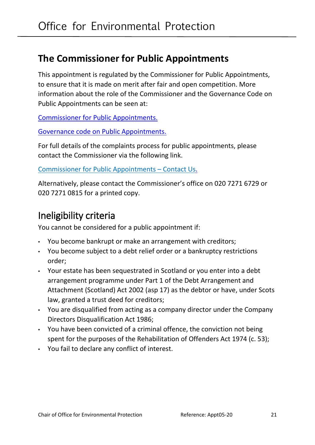# <span id="page-20-0"></span>**The Commissioner for Public Appointments**

This appointment is regulated by the Commissioner for Public Appointments, to ensure that it is made on merit after fair and open competition. More information about the role of the Commissioner and the Governance Code on Public Appointments can be seen at:

[Commissioner for Public Appointments.](http://publicappointmentscommissioner.independent.gov.uk/)

[Governance code on Public Appointments.](https://www.gov.uk/government/uploads/system/uploads/attachment_data/file/578498/governance_code_on_public_appointments_16_12_2016.pdf)

For full details of the complaints process for public appointments, please contact the Commissioner via the following link.

[Commissioner for Public Appointments](https://publicappointmentscommissioner.independent.gov.uk/about-us/contact-details/) – Contact Us.

Alternatively, please contact the Commissioner's office on 020 7271 6729 or 020 7271 0815 for a printed copy.

# <span id="page-20-1"></span>Ineligibility criteria

You cannot be considered for a public appointment if:

- You become bankrupt or make an arrangement with creditors;
- You become subject to a debt relief order or a bankruptcy restrictions order;
- Your estate has been sequestrated in Scotland or you enter into a debt arrangement programme under Part 1 of the Debt Arrangement and Attachment (Scotland) Act 2002 (asp 17) as the debtor or have, under Scots law, granted a trust deed for creditors;
- You are disqualified from acting as a company director under the Company Directors Disqualification Act 1986;
- You have been convicted of a criminal offence, the conviction not being spent for the purposes of the Rehabilitation of Offenders Act 1974 (c. 53);
- You fail to declare any conflict of interest.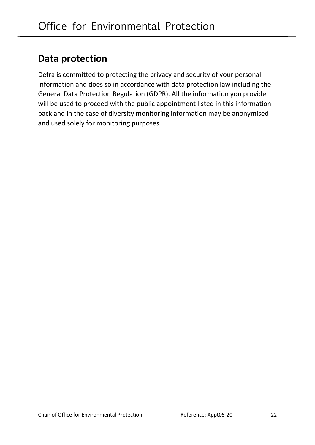# <span id="page-21-0"></span>**Data protection**

Defra is committed to protecting the privacy and security of your personal information and does so in accordance with data protection law including the General Data Protection Regulation (GDPR). All the information you provide will be used to proceed with the public appointment listed in this information pack and in the case of diversity monitoring information may be anonymised and used solely for monitoring purposes.